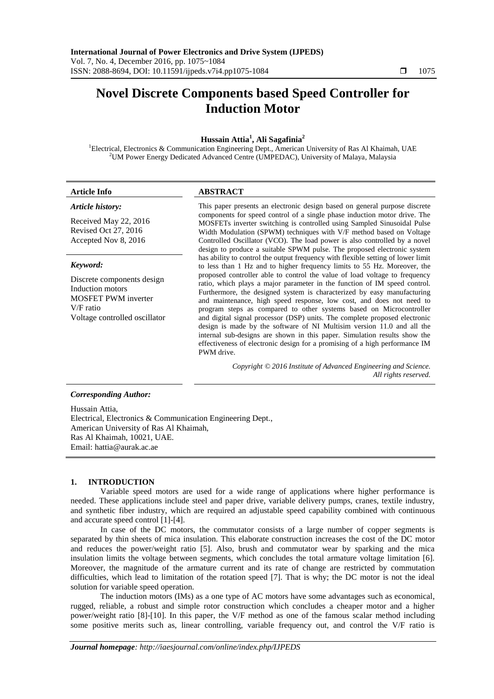# **Novel Discrete Components based Speed Controller for Induction Motor**

# **Hussain Attia<sup>1</sup> , Ali Sagafinia<sup>2</sup>**

<sup>1</sup>Electrical, Electronics & Communication Engineering Dept., American University of Ras Al Khaimah, UAE <sup>2</sup>UM Power Energy Dedicated Advanced Centre (UMPEDAC), University of Malaya, Malaysia

#### *Article history:*

Received May 22, 2016 Revised Oct 27, 2016 Accepted Nov 8, 2016

#### *Keyword:*

Discrete components design Induction motors MOSFET PWM inverter V/F ratio Voltage controlled oscillator

# **Article Info ABSTRACT**

This paper presents an electronic design based on general purpose discrete components for speed control of a single phase induction motor drive. The MOSFETs inverter switching is controlled using Sampled Sinusoidal Pulse Width Modulation (SPWM) techniques with V/F method based on Voltage Controlled Oscillator (VCO). The load power is also controlled by a novel design to produce a suitable SPWM pulse. The proposed electronic system has ability to control the output frequency with flexible setting of lower limit to less than 1 Hz and to higher frequency limits to 55 Hz. Moreover, the proposed controller able to control the value of load voltage to frequency ratio, which plays a major parameter in the function of IM speed control. Furthermore, the designed system is characterized by easy manufacturing and maintenance, high speed response, low cost, and does not need to program steps as compared to other systems based on Microcontroller and digital signal processor (DSP) units. The complete proposed electronic design is made by the software of NI Multisim version 11.0 and all the internal sub-designs are shown in this paper. Simulation results show the effectiveness of electronic design for a promising of a high performance IM PWM drive.

> *Copyright © 2016 Institute of Advanced Engineering and Science. All rights reserved.*

# *Corresponding Author:*

Hussain Attia, Electrical, Electronics & Communication Engineering Dept., American University of Ras Al Khaimah, Ras Al Khaimah, 10021, UAE. Email: hattia@aurak.ac.ae

### **1. INTRODUCTION**

Variable speed motors are used for a wide range of applications where higher performance is needed. These applications include steel and paper drive, variable delivery pumps, cranes, textile industry, and synthetic fiber industry, which are required an adjustable speed capability combined with continuous and accurate speed control [1]-[4].

In case of the DC motors, the commutator consists of a large number of copper segments is separated by thin sheets of mica insulation. This elaborate construction increases the cost of the DC motor and reduces the power/weight ratio [5]. Also, brush and commutator wear by sparking and the mica insulation limits the voltage between segments, which concludes the total armature voltage limitation [6]. Moreover, the magnitude of the armature current and its rate of change are restricted by commutation difficulties, which lead to limitation of the rotation speed [7]. That is why; the DC motor is not the ideal solution for variable speed operation.

The induction motors (IMs) as a one type of AC motors have some advantages such as economical, rugged, reliable, a robust and simple rotor construction which concludes a cheaper motor and a higher power/weight ratio [8]-[10]. In this paper, the V/F method as one of the famous scalar method including some positive merits such as, linear controlling, variable frequency out, and control the V/F ratio is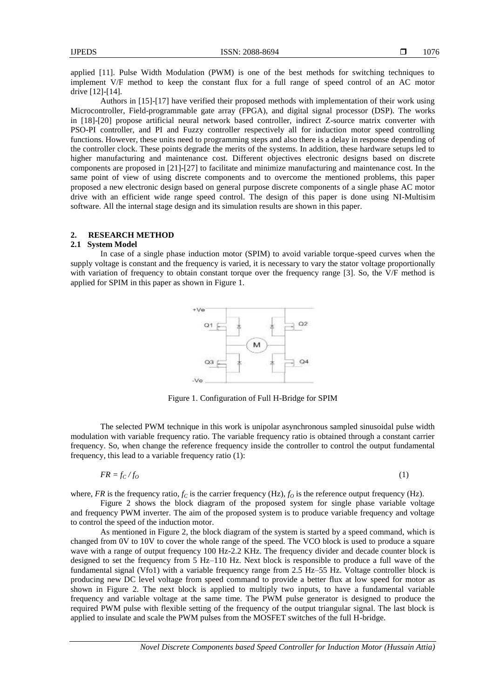applied [11]. Pulse Width Modulation (PWM) is one of the best methods for switching techniques to implement V/F method to keep the constant flux for a full range of speed control of an AC motor drive [12]-[14].

Authors in [15]-[17] have verified their proposed methods with implementation of their work using Microcontroller, Field-programmable gate array (FPGA), and digital signal processor (DSP). The works in [18]-[20] propose artificial neural network based controller, indirect Z-source matrix converter with PSO-PI controller, and PI and Fuzzy controller respectively all for induction motor speed controlling functions. However, these units need to programming steps and also there is a delay in response depending of the controller clock. These points degrade the merits of the systems. In addition, these hardware setups led to higher manufacturing and maintenance cost. Different objectives electronic designs based on discrete components are proposed in [21]-[27] to facilitate and minimize manufacturing and maintenance cost. In the same point of view of using discrete components and to overcome the mentioned problems, this paper proposed a new electronic design based on general purpose discrete components of a single phase AC motor drive with an efficient wide range speed control. The design of this paper is done using NI-Multisim software. All the internal stage design and its simulation results are shown in this paper.

### **2. RESEARCH METHOD**

#### **2.1 System Model**

In case of a single phase induction motor (SPIM) to avoid variable torque-speed curves when the supply voltage is constant and the frequency is varied, it is necessary to vary the stator voltage proportionally with variation of frequency to obtain constant torque over the frequency range [3]. So, the V/F method is applied for SPIM in this paper as shown in Figure 1.



Figure 1. Configuration of Full H-Bridge for SPIM

The selected PWM technique in this work is unipolar asynchronous sampled sinusoidal pulse width modulation with variable frequency ratio. The variable frequency ratio is obtained through a constant carrier frequency. So, when change the reference frequency inside the controller to control the output fundamental frequency, this lead to a variable frequency ratio (1):

$$
FR = f_C/f_O \tag{1}
$$

where, *FR* is the frequency ratio,  $f_C$  is the carrier frequency (Hz),  $f_O$  is the reference output frequency (Hz).

Figure 2 shows the block diagram of the proposed system for single phase variable voltage and frequency PWM inverter. The aim of the proposed system is to produce variable frequency and voltage to control the speed of the induction motor.

As mentioned in Figure 2, the block diagram of the system is started by a speed command, which is changed from 0V to 10V to cover the whole range of the speed. The VCO block is used to produce a square wave with a range of output frequency 100 Hz-2.2 KHz. The frequency divider and decade counter block is designed to set the frequency from 5 Hz–110 Hz. Next block is responsible to produce a full wave of the fundamental signal (Vfo1) with a variable frequency range from 2.5 Hz–55 Hz. Voltage controller block is producing new DC level voltage from speed command to provide a better flux at low speed for motor as shown in Figure 2. The next block is applied to multiply two inputs, to have a fundamental variable frequency and variable voltage at the same time. The PWM pulse generator is designed to produce the required PWM pulse with flexible setting of the frequency of the output triangular signal. The last block is applied to insulate and scale the PWM pulses from the MOSFET switches of the full H-bridge.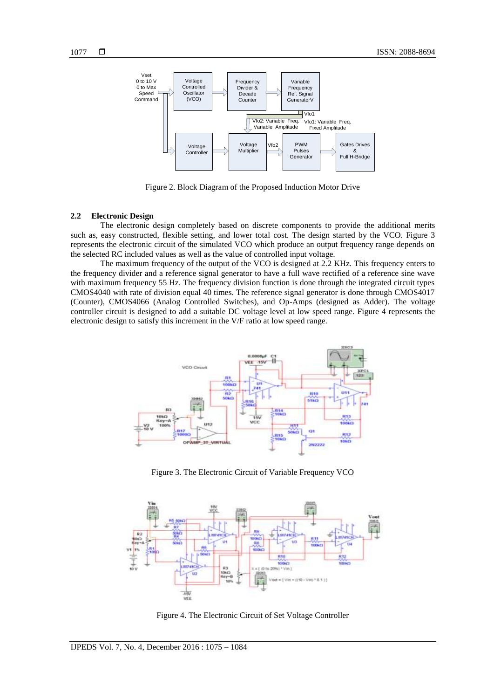

Figure 2. Block Diagram of the Proposed Induction Motor Drive

#### **2.2 Electronic Design**

The electronic design completely based on discrete components to provide the additional merits such as, easy constructed, flexible setting, and lower total cost. The design started by the VCO. Figure 3 represents the electronic circuit of the simulated VCO which produce an output frequency range depends on the selected RC included values as well as the value of controlled input voltage.

The maximum frequency of the output of the VCO is designed at 2.2 KHz. This frequency enters to the frequency divider and a reference signal generator to have a full wave rectified of a reference sine wave with maximum frequency 55 Hz. The frequency division function is done through the integrated circuit types CMOS4040 with rate of division equal 40 times. The reference signal generator is done through CMOS4017 (Counter), CMOS4066 (Analog Controlled Switches), and Op-Amps (designed as Adder). The voltage controller circuit is designed to add a suitable DC voltage level at low speed range. Figure 4 represents the electronic design to satisfy this increment in the V/F ratio at low speed range.



Figure 3. The Electronic Circuit of Variable Frequency VCO



Figure 4. The Electronic Circuit of Set Voltage Controller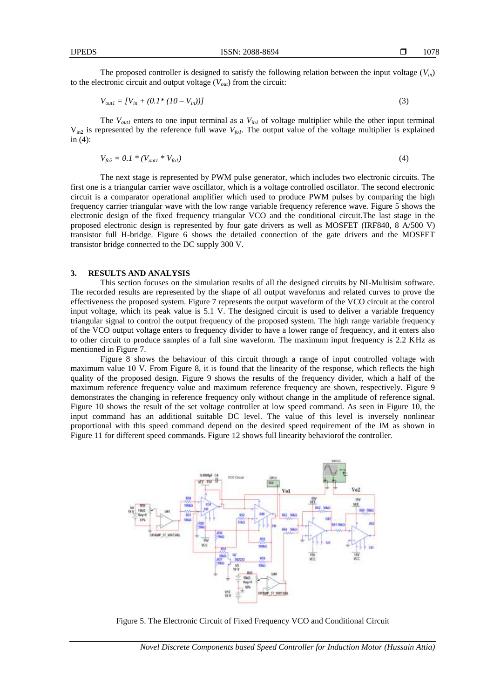The proposed controller is designed to satisfy the following relation between the input voltage  $(V_{in})$ to the electronic circuit and output voltage (*Vout*) from the circuit:

$$
V_{out1} = [V_{in} + (0.1 * (10 - V_{in}))]
$$
\n(3)

The  $V_{out1}$  enters to one input terminal as a  $V_{in1}$  of voltage multiplier while the other input terminal  $V_{in2}$  is represented by the reference full wave  $V_{fo1}$ . The output value of the voltage multiplier is explained in (4):

$$
V_{f02} = 0.1 * (V_{out1} * V_{f01})
$$
\n(4)

The next stage is represented by PWM pulse generator, which includes two electronic circuits. The first one is a triangular carrier wave oscillator, which is a voltage controlled oscillator. The second electronic circuit is a comparator operational amplifier which used to produce PWM pulses by comparing the high frequency carrier triangular wave with the low range variable frequency reference wave. Figure 5 shows the electronic design of the fixed frequency triangular VCO and the conditional circuit.The last stage in the proposed electronic design is represented by four gate drivers as well as MOSFET (IRF840, 8 A/500 V) transistor full H-bridge. Figure 6 shows the detailed connection of the gate drivers and the MOSFET transistor bridge connected to the DC supply 300 V.

#### **3. RESULTS AND ANALYSIS**

This section focuses on the simulation results of all the designed circuits by NI-Multisim software. The recorded results are represented by the shape of all output waveforms and related curves to prove the effectiveness the proposed system. Figure 7 represents the output waveform of the VCO circuit at the control input voltage, which its peak value is 5.1 V. The designed circuit is used to deliver a variable frequency triangular signal to control the output frequency of the proposed system. The high range variable frequency of the VCO output voltage enters to frequency divider to have a lower range of frequency, and it enters also to other circuit to produce samples of a full sine waveform. The maximum input frequency is 2.2 KHz as mentioned in Figure 7.

Figure 8 shows the behaviour of this circuit through a range of input controlled voltage with maximum value 10 V. From Figure 8, it is found that the linearity of the response, which reflects the high quality of the proposed design. Figure 9 shows the results of the frequency divider, which a half of the maximum reference frequency value and maximum reference frequency are shown, respectively. Figure 9 demonstrates the changing in reference frequency only without change in the amplitude of reference signal. Figure 10 shows the result of the set voltage controller at low speed command. As seen in Figure 10, the input command has an additional suitable DC level. The value of this level is inversely nonlinear proportional with this speed command depend on the desired speed requirement of the IM as shown in Figure 11 for different speed commands. Figure 12 shows full linearity behaviorof the controller.



Figure 5. The Electronic Circuit of Fixed Frequency VCO and Conditional Circuit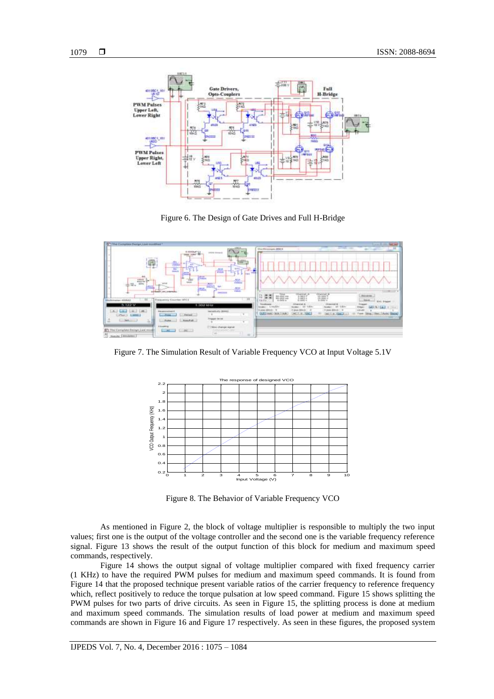

Figure 6. The Design of Gate Drives and Full H-Bridge



Figure 7. The Simulation Result of Variable Frequency VCO at Input Voltage 5.1V



Figure 8. The Behavior of Variable Frequency VCO

As mentioned in Figure 2, the block of voltage multiplier is responsible to multiply the two input values; first one is the output of the voltage controller and the second one is the variable frequency reference signal. Figure 13 shows the result of the output function of this block for medium and maximum speed commands, respectively.

Figure 14 shows the output signal of voltage multiplier compared with fixed frequency carrier (1 KHz) to have the required PWM pulses for medium and maximum speed commands. It is found from Figure 14 that the proposed technique present variable ratios of the carrier frequency to reference frequency which, reflect positively to reduce the torque pulsation at low speed command. Figure 15 shows splitting the PWM pulses for two parts of drive circuits. As seen in Figure 15, the splitting process is done at medium and maximum speed commands. The simulation results of load power at medium and maximum speed commands are shown in Figure 16 and Figure 17 respectively. As seen in these figures, the proposed system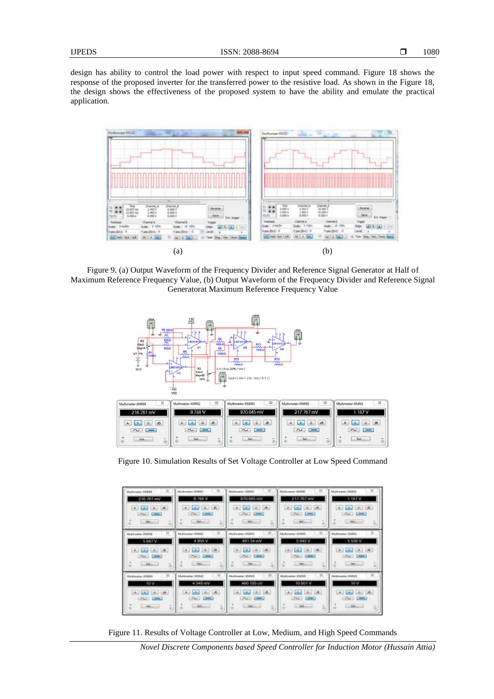design has ability to control the load power with respect to input speed command. Figure 18 shows the response of the proposed inverter for the transferred power to the resistive load. As shown in the Figure 18, the design shows the effectiveness of the proposed system to have the ability and emulate the practical application.



Figure 9. (a) Output Waveform of the Frequency Divider and Reference Signal Generator at Half of Maximum Reference Frequency Value, (b) Output Waveform of the Frequency Divider and Reference Signal Generatorat Maximum Reference Frequency Value



Figure 10. Simulation Results of Set Voltage Controller at Low Speed Command

| Multimeter-EMM4<br>216.761 mV<br>CALL LAW CALL CALL<br><b>Cut Limits</b><br><b>Gelan</b>  | m<br>Markeeper (UMM)<br>9.788V<br>(1, 0)<br>Las.<br>٠<br>$1040 - 1000$<br>345.4                       | Mcdireater-SSMAI<br>970 045 mW<br>$41 -$<br>$-1$<br>œ.<br><b>CONTRACTOR</b><br>int.        | Mahimmon 20,868<br>217.767 mV<br>$\sim$<br>×<br>LB.<br>L.M.<br>The London<br>Set.  | $\pi$<br>Maltimeter-MMM1<br>1.187 V<br>$140 -$<br>$-44$<br>٠<br>۰<br>Life Limited<br><b>SAE</b> |
|-------------------------------------------------------------------------------------------|-------------------------------------------------------------------------------------------------------|--------------------------------------------------------------------------------------------|------------------------------------------------------------------------------------|-------------------------------------------------------------------------------------------------|
| <b>Mcgrowing-Student</b><br>5.047 V<br>$\sim$<br><b>Localistics</b>                       | Mukinsster: KMW2<br>4.956 V<br>14<br>×<br>٠<br>Play 1 Company<br>$\overline{\phantom{a}}$<br>- Orkans | Multivator-XMM3<br>491.34 mV<br>Part (men)<br><b>Delivery</b>                              | <b>Multimeter-XMMS</b><br>5:048 V<br>12<br>18.<br>P(x)<br>$\overline{\phantom{a}}$ | $\Box$<br>McPinessi (IMAI)<br>5.538 V<br>14<br><b>Curriculum</b><br>Det.                        |
| 12<br>Maximustan EMMA<br>10V<br>÷<br><b>SEC</b><br><b>ALL LINE</b><br><b>Bellings LLC</b> | Multimeter-XMMT<br>4.549 mV<br>$A = 1$<br>LO BELLON                                                   | Multimeter-23/Mill<br>460.185 LW<br>a.<br><b>Contract Contract</b><br><b>St. Betassing</b> | Edulosatac-XEAMS<br>10.001 V<br>$\sim$<br>$\equiv$<br>Set                          | $\mathbb{H}$<br><b>SAAbrestac SMM1</b><br>10V<br>$24 + 1 - 1$<br><b>LLCARS</b>                  |

Figure 11. Results of Voltage Controller at Low, Medium, and High Speed Commands

*Novel Discrete Components based Speed Controller for Induction Motor (Hussain Attia)*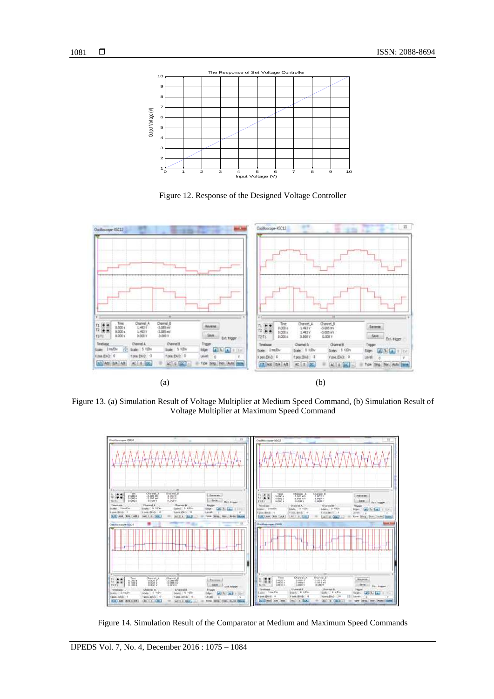

Figure 12. Response of the Designed Voltage Controller



Figure 13. (a) Simulation Result of Voltage Multiplier at Medium Speed Command, (b) Simulation Result of Voltage Multiplier at Maximum Speed Command



Figure 14. Simulation Result of the Comparator at Medium and Maximum Speed Commands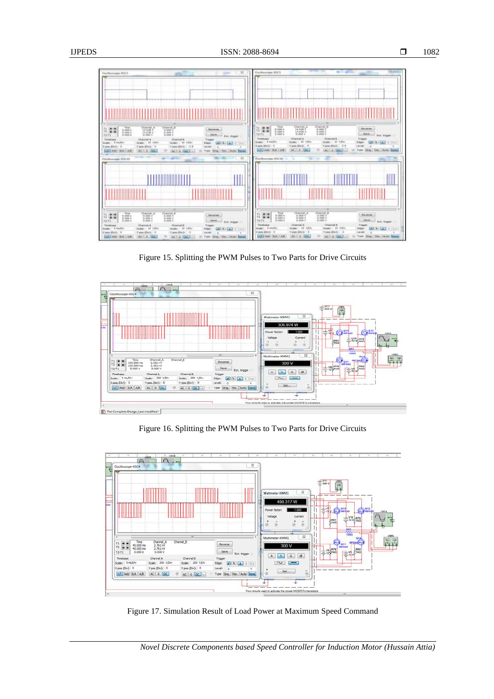

Figure 15. Splitting the PWM Pulses to Two Parts for Drive Circuits



Figure 16. Splitting the PWM Pulses to Two Parts for Drive Circuits



Figure 17. Simulation Result of Load Power at Maximum Speed Command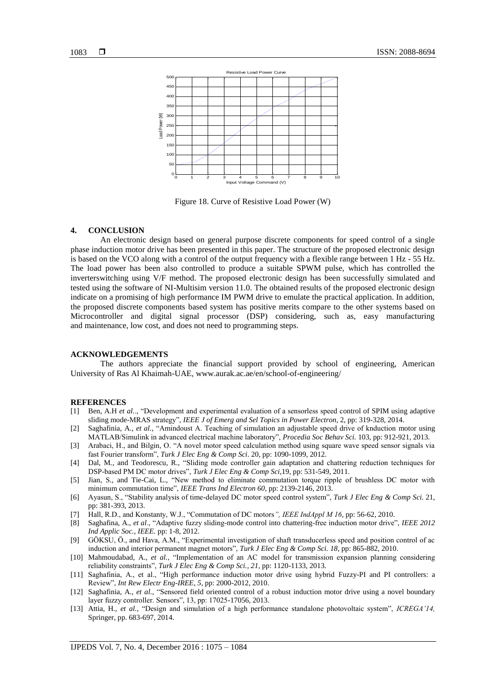

Figure 18. Curve of Resistive Load Power (W)

## **4. CONCLUSION**

An electronic design based on general purpose discrete components for speed control of a single phase induction motor drive has been presented in this paper. The structure of the proposed electronic design is based on the VCO along with a control of the output frequency with a flexible range between 1 Hz - 55 Hz. The load power has been also controlled to produce a suitable SPWM pulse, which has controlled the inverterswitching using V/F method. The proposed electronic design has been successfully simulated and tested using the software of NI-Multisim version 11.0. The obtained results of the proposed electronic design indicate on a promising of high performance IM PWM drive to emulate the practical application. In addition, the proposed discrete components based system has positive merits compare to the other systems based on Microcontroller and digital signal processor (DSP) considering, such as, easy manufacturing and maintenance, low cost, and does not need to programming steps.

#### **ACKNOWLEDGEMENTS**

The authors appreciate the financial support provided by school of engineering, American University of Ras Al Khaimah-UAE, www.aurak.ac.ae/en/school-of-engineering/

#### **REFERENCES**

- [1] Ben, A.H *et al.*., "Development and experimental evaluation of a sensorless speed control of SPIM using adaptive sliding mode-MRAS strategy", *IEEE J of Emerg and Sel Topics in Power Electron*, 2, pp: 319-328, 2014.
- [2] Saghafinia, A., *et al.*, "Amindoust A. Teaching of simulation an adjustable speed drive of knduction motor using MATLAB/Simulink in advanced electrical machine laboratory", *Procedia Soc Behav Sci.* 103, pp: 912-921, 2013.
- [3] Arabaci, H., and Bilgin, O. "A novel motor speed calculation method using square wave speed sensor signals via fast Fourier transform", *Turk J Elec Eng & Comp Sci*. 20, pp: 1090-1099, 2012.
- [4] Dal, M., and Teodorescu, R., "Sliding mode controller gain adaptation and chattering reduction techniques for DSP-based PM DC motor drives", *Turk J Elec Eng & Comp Sci*,19, pp: 531-549, 2011.
- [5] Jian, S., and Tie-Cai, L., "New method to eliminate commutation torque ripple of brushless DC motor with minimum commutation time", *IEEE Trans Ind Electron 60*, pp: 2139-2146, 2013.
- [6] Ayasun, S., "Stability analysis of time-delayed DC motor speed control system", *Turk J Elec Eng & Comp Sci*. 21, pp: 381-393, 2013.
- [7] Hall, R.D., and Konstanty, W.J., "Commutation of DC motors*", IEEE IndAppl M 16*, pp: 56-62, 2010.
- [8] Saghafina, A., *et al*., "Adaptive fuzzy sliding-mode control into chattering-free induction motor drive", *IEEE 2012 Ind Applic Soc., IEEE.* pp: 1-8, 2012.
- [9] GÖKSU, Ö., and Hava, A.M., "Experimental investigation of shaft transducerless speed and position control of ac induction and interior permanent magnet motors", *Turk J Elec Eng & Comp Sci. 18*, pp: 865-882, 2010.
- [10] Mahmoudabad, A., *et al.*, "Implementation of an AC model for transmission expansion planning considering reliability constraints", *Turk J Elec Eng & Comp Sci., 21*, pp: 1120-1133, 2013.
- [11] Saghafinia, A., et al., "High performance induction motor drive using hybrid Fuzzy-PI and PI controllers: a Review", *Int Rew Electr Eng-IREE, 5*, pp: 2000-2012, 2010.
- [12] Saghafinia, A., *et al.,* "Sensored field oriented control of a robust induction motor drive using a novel boundary layer fuzzy controller. Sensors", 13, pp: 17025-17056, 2013.
- [13] Attia, H., *et al.*, "Design and simulation of a high performance standalone photovoltaic system", *ICREGA'14,* Springer, pp. 683-697, 2014.